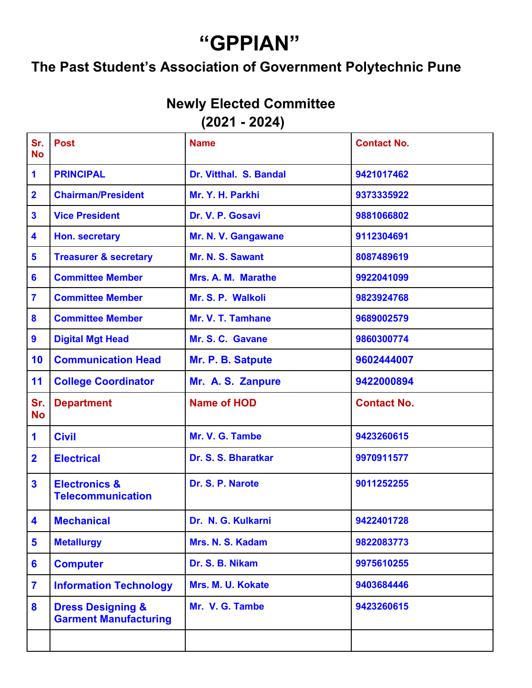## "GPPIAN"

## "GPPIAN"<br>The Past Student's Association of Government Polytechnic Pune<br>Newly Elected Committee<br>(2021 - 2024)

|                         | "GPPIAN"<br>The Past Student's Association of Government Polytechnic Pune |                                                   |                    |  |  |
|-------------------------|---------------------------------------------------------------------------|---------------------------------------------------|--------------------|--|--|
|                         |                                                                           | <b>Newly Elected Committee</b><br>$(2021 - 2024)$ |                    |  |  |
| Sr.<br><b>No</b>        | <b>Post</b>                                                               | <b>Name</b>                                       | <b>Contact No.</b> |  |  |
| 1                       | <b>PRINCIPAL</b>                                                          | Dr. Vitthal. S. Bandal                            | 9421017462         |  |  |
| $\overline{\mathbf{2}}$ | <b>Chairman/President</b>                                                 | Mr. Y. H. Parkhi                                  | 9373335922         |  |  |
| $\overline{\mathbf{3}}$ | <b>Vice President</b>                                                     | Dr. V. P. Gosavi                                  | 9881066802         |  |  |
| 4                       | Hon. secretary                                                            | Mr. N. V. Gangawane                               | 9112304691         |  |  |
| 5                       | <b>Treasurer &amp; secretary</b>                                          | Mr. N. S. Sawant                                  | 8087489619         |  |  |
| $6\phantom{a}$          | <b>Committee Member</b>                                                   | Mrs. A. M. Marathe                                | 9922041099         |  |  |
| $\overline{\mathbf{7}}$ | <b>Committee Member</b>                                                   | Mr. S. P. Walkoli                                 | 9823924768         |  |  |
| 8                       | <b>Committee Member</b>                                                   | Mr. V. T. Tamhane                                 | 9689002579         |  |  |
| $\boldsymbol{9}$        | <b>Digital Mgt Head</b>                                                   | Mr. S. C. Gavane                                  | 9860300774         |  |  |
| 10                      | <b>Communication Head</b>                                                 | Mr. P. B. Satpute                                 | 9602444007         |  |  |
| 11                      | <b>College Coordinator</b>                                                | Mr. A. S. Zanpure                                 | 9422000894         |  |  |
| Sr.<br><b>No</b>        | <b>Department</b>                                                         | <b>Name of HOD</b>                                | <b>Contact No.</b> |  |  |
| $\blacksquare$          | <b>Civil</b>                                                              | Mr. V. G. Tambe                                   | 9423260615         |  |  |
| $\overline{\mathbf{2}}$ | <b>Electrical</b>                                                         | Dr. S. S. Bharatkar                               | 9970911577         |  |  |
| 3                       | <b>Electronics &amp;</b><br><b>Telecommunication</b>                      | Dr. S. P. Narote                                  | 9011252255         |  |  |
| 4                       | <b>Mechanical</b>                                                         | Dr. N. G. Kulkarni                                | 9422401728         |  |  |
| 5                       | <b>Metallurgy</b>                                                         | Mrs. N. S. Kadam                                  | 9822083773         |  |  |
| $6\phantom{a}$          | <b>Computer</b>                                                           | Dr. S. B. Nikam                                   | 9975610255         |  |  |
| $\overline{\mathbf{7}}$ | <b>Information Technology</b>                                             | Mrs. M. U. Kokate                                 | 9403684446         |  |  |
| 8                       | <b>Dress Designing &amp;</b><br><b>Garment Manufacturing</b>              | Mr. V. G. Tambe                                   | 9423260615         |  |  |